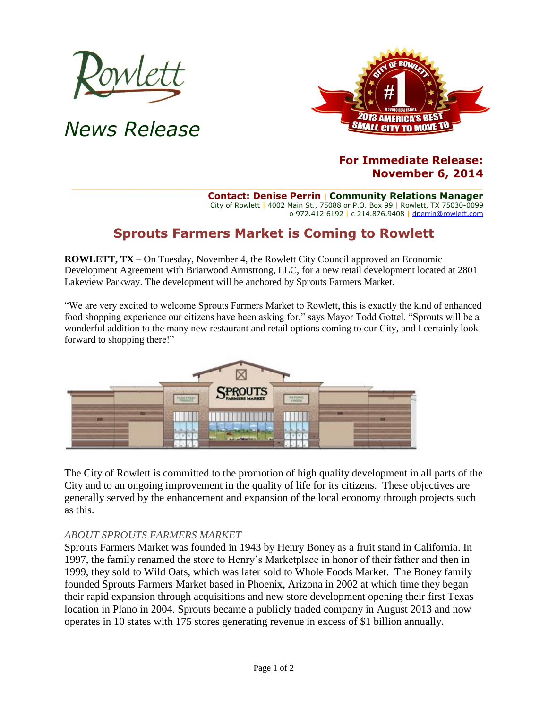

*News Release*



## **For Immediate Release: November 6, 2014**

**Contact: Denise Perrin** | **Community Relations Manager** City of Rowlett | 4002 Main St., 75088 or P.O. Box 99 | Rowlett, TX 75030-0099 o 972.412.6192 | c 214.876.9408 [| dperrin@rowlett.com](mailto:dperrin@rowlett.com)

## **Sprouts Farmers Market is Coming to Rowlett**

**ROWLETT, TX –** On Tuesday, November 4, the Rowlett City Council approved an Economic Development Agreement with Briarwood Armstrong, LLC, for a new retail development located at 2801 Lakeview Parkway. The development will be anchored by Sprouts Farmers Market.

"We are very excited to welcome Sprouts Farmers Market to Rowlett, this is exactly the kind of enhanced food shopping experience our citizens have been asking for," says Mayor Todd Gottel. "Sprouts will be a wonderful addition to the many new restaurant and retail options coming to our City, and I certainly look forward to shopping there!"



The City of Rowlett is committed to the promotion of high quality development in all parts of the City and to an ongoing improvement in the quality of life for its citizens. These objectives are generally served by the enhancement and expansion of the local economy through projects such as this.

## *ABOUT SPROUTS FARMERS MARKET*

Sprouts Farmers Market was founded in 1943 by Henry Boney as a fruit stand in California. In 1997, the family renamed the store to Henry's Marketplace in honor of their father and then in 1999, they sold to Wild Oats, which was later sold to Whole Foods Market. The Boney family founded Sprouts Farmers Market based in Phoenix, Arizona in 2002 at which time they began their rapid expansion through acquisitions and new store development opening their first Texas location in Plano in 2004. Sprouts became a publicly traded company in August 2013 and now operates in 10 states with 175 stores generating revenue in excess of \$1 billion annually.